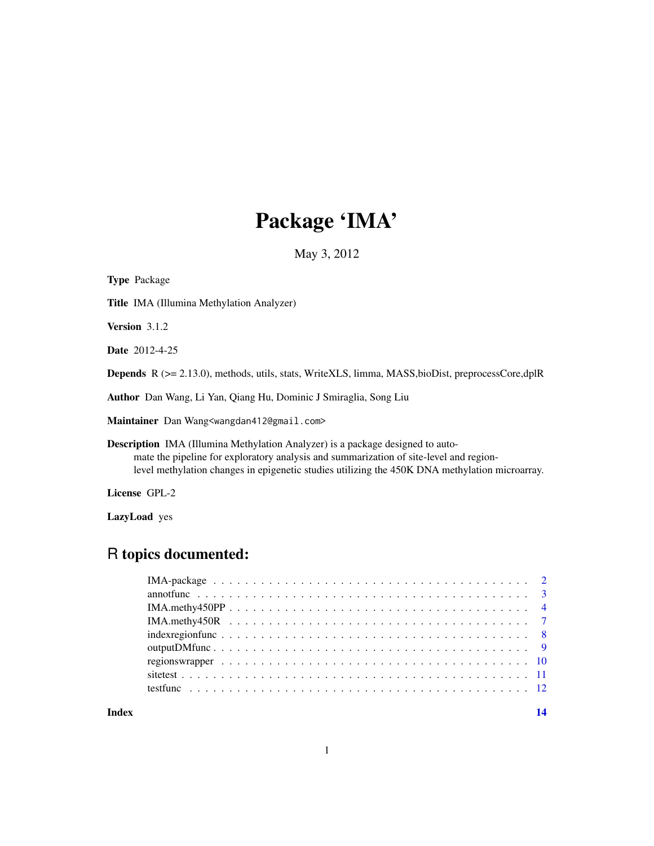# Package 'IMA'

May 3, 2012

| <b>Type Package</b>                                                                                                                                                                                                                                                               |
|-----------------------------------------------------------------------------------------------------------------------------------------------------------------------------------------------------------------------------------------------------------------------------------|
| <b>Title IMA</b> (Illumina Methylation Analyzer)                                                                                                                                                                                                                                  |
| <b>Version</b> $3.1.2$                                                                                                                                                                                                                                                            |
| <b>Date</b> 2012-4-25                                                                                                                                                                                                                                                             |
| <b>Depends</b> $R$ ( $>= 2.13.0$ ), methods, utils, stats, WriteXLS, limma, MASS, bioDist, preprocessCore, dplR                                                                                                                                                                   |
| <b>Author</b> Dan Wang, Li Yan, Qiang Hu, Dominic J Smiraglia, Song Liu                                                                                                                                                                                                           |
| Maintainer Dan Wang <wangdan412@gmail.com></wangdan412@gmail.com>                                                                                                                                                                                                                 |
| <b>Description</b> IMA (Illumina Methylation Analyzer) is a package designed to auto-<br>mate the pipeline for exploratory analysis and summarization of site-level and region-<br>level methylation changes in epigenetic studies utilizing the 450K DNA methylation microarray. |

License GPL-2

LazyLoad yes

# R topics documented:

| Index |  |
|-------|--|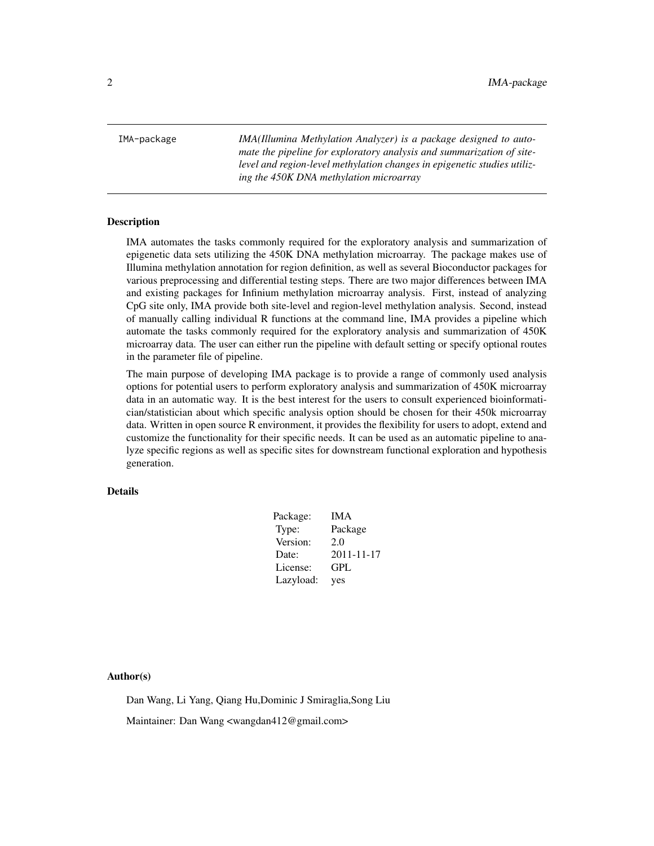<span id="page-1-0"></span>IMA-package *IMA(Illumina Methylation Analyzer) is a package designed to automate the pipeline for exploratory analysis and summarization of sitelevel and region-level methylation changes in epigenetic studies utilizing the 450K DNA methylation microarray*

# Description

IMA automates the tasks commonly required for the exploratory analysis and summarization of epigenetic data sets utilizing the 450K DNA methylation microarray. The package makes use of Illumina methylation annotation for region definition, as well as several Bioconductor packages for various preprocessing and differential testing steps. There are two major differences between IMA and existing packages for Infinium methylation microarray analysis. First, instead of analyzing CpG site only, IMA provide both site-level and region-level methylation analysis. Second, instead of manually calling individual R functions at the command line, IMA provides a pipeline which automate the tasks commonly required for the exploratory analysis and summarization of 450K microarray data. The user can either run the pipeline with default setting or specify optional routes in the parameter file of pipeline.

The main purpose of developing IMA package is to provide a range of commonly used analysis options for potential users to perform exploratory analysis and summarization of 450K microarray data in an automatic way. It is the best interest for the users to consult experienced bioinformatician/statistician about which specific analysis option should be chosen for their 450k microarray data. Written in open source R environment, it provides the flexibility for users to adopt, extend and customize the functionality for their specific needs. It can be used as an automatic pipeline to analyze specific regions as well as specific sites for downstream functional exploration and hypothesis generation.

# Details

| Package:  | IMA        |
|-----------|------------|
| Type:     | Package    |
| Version:  | 2.0        |
| Date:     | 2011-11-17 |
| License:  | GPL        |
| Lazyload: | yes        |

Author(s)

Dan Wang, Li Yang, Qiang Hu,Dominic J Smiraglia,Song Liu

Maintainer: Dan Wang <wangdan412@gmail.com>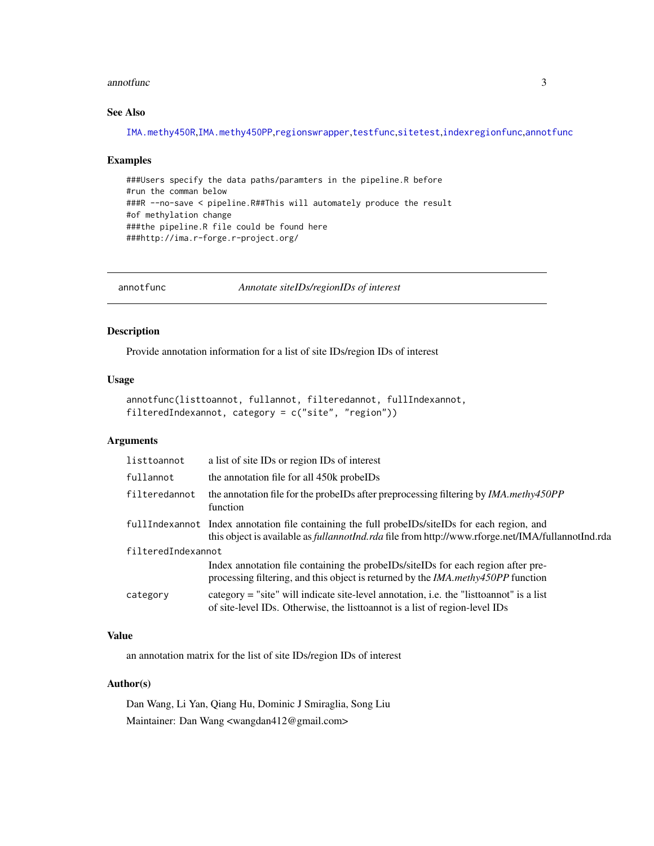# <span id="page-2-0"></span>annotfunc 3

# See Also

[IMA.methy450R](#page-6-1),[IMA.methy450PP](#page-3-1),[regionswrapper](#page-9-1),[testfunc](#page-11-1),[sitetest](#page-10-1),[indexregionfunc](#page-7-1),[annotfunc](#page-2-1)

# Examples

###Users specify the data paths/paramters in the pipeline.R before #run the comman below ###R --no-save < pipeline.R##This will automately produce the result #of methylation change ###the pipeline.R file could be found here ###http://ima.r-forge.r-project.org/

<span id="page-2-1"></span>annotfunc *Annotate siteIDs/regionIDs of interest*

# Description

Provide annotation information for a list of site IDs/region IDs of interest

# Usage

```
annotfunc(listtoannot, fullannot, filteredannot, fullIndexannot,
filteredIndexannot, category = c("site", "region"))
```
# Arguments

| listtoannot        | a list of site IDs or region IDs of interest                                                                                                                                                                 |
|--------------------|--------------------------------------------------------------------------------------------------------------------------------------------------------------------------------------------------------------|
| fullannot          | the annotation file for all 450k probeIDs                                                                                                                                                                    |
| filteredannot      | the annotation file for the probelles after preprocessing filtering by <i>IMA.methy450PP</i><br>function                                                                                                     |
|                    | fullIndexannot Index annotation file containing the full probel Ds/site IDs for each region, and<br>this object is available as <i>fullannotInd.rda</i> file from http://www.rforge.net/IMA/fullannotInd.rda |
| filteredIndexannot |                                                                                                                                                                                                              |
|                    | Index annotation file containing the probeIDs/siteIDs for each region after pre-<br>processing filtering, and this object is returned by the <i>IMA.methy450PP</i> function                                  |
| category           | category = "site" will indicate site-level annotation, i.e. the "list to annot" is a list<br>of site-level IDs. Otherwise, the list to a list of region-level IDs                                            |

# Value

an annotation matrix for the list of site IDs/region IDs of interest

# Author(s)

Dan Wang, Li Yan, Qiang Hu, Dominic J Smiraglia, Song Liu Maintainer: Dan Wang <wangdan412@gmail.com>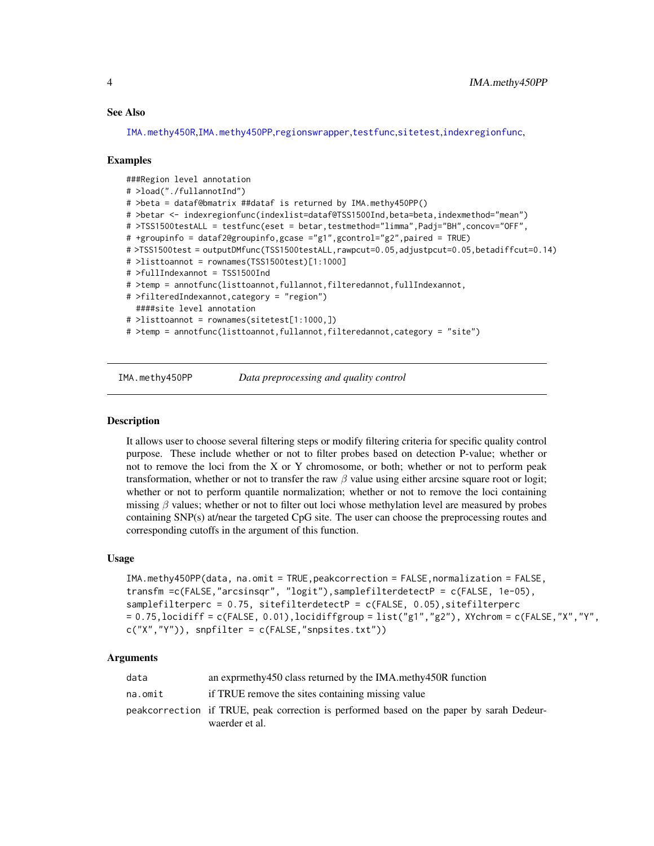# <span id="page-3-0"></span>See Also

[IMA.methy450R](#page-6-1),[IMA.methy450PP](#page-3-1),[regionswrapper](#page-9-1),[testfunc](#page-11-1),[sitetest](#page-10-1),[indexregionfunc](#page-7-1),

### Examples

```
###Region level annotation
# >load("./fullannotInd")
# >beta = dataf@bmatrix ##dataf is returned by IMA.methy450PP()
# >betar <- indexregionfunc(indexlist=dataf@TSS1500Ind,beta=beta,indexmethod="mean")
# >TSS1500testALL = testfunc(eset = betar, testmethod="limma", Padj="BH", concov="OFF",
# +groupinfo = dataf2@groupinfo,gcase ="g1",gcontrol="g2",paired = TRUE)
# >TSS1500test = outputDMfunc(TSS1500testALL,rawpcut=0.05,adjustpcut=0.05,betadiffcut=0.14)
# >listtoannot = rownames(TSS1500test)[1:1000]
# >fullIndexannot = TSS1500Ind
# >temp = annotfunc(listtoannot,fullannot,filteredannot,fullIndexannot,
# >filteredIndexannot,category = "region")
 ####site level annotation
# >listtoannot = rownames(sitetest[1:1000,])
# >temp = annotfunc(listtoannot,fullannot,filteredannot,category = "site")
```
<span id="page-3-1"></span>

IMA.methy450PP *Data preprocessing and quality control*

# Description

It allows user to choose several filtering steps or modify filtering criteria for specific quality control purpose. These include whether or not to filter probes based on detection P-value; whether or not to remove the loci from the X or Y chromosome, or both; whether or not to perform peak transformation, whether or not to transfer the raw  $\beta$  value using either arcsine square root or logit; whether or not to perform quantile normalization; whether or not to remove the loci containing missing  $\beta$  values; whether or not to filter out loci whose methylation level are measured by probes containing SNP(s) at/near the targeted CpG site. The user can choose the preprocessing routes and corresponding cutoffs in the argument of this function.

# Usage

```
IMA.methy450PP(data, na.omit = TRUE,peakcorrection = FALSE,normalization = FALSE,
transfm =c(FALSE,"arcsinsqr", "logit"),samplefilterdetectP = c(FALSE, 1e-05),
samplefilterperc = 0.75, sitefilterdetectP = c(FALSE, 0.05), sitefilterperc
= 0.75, locidiff = c(FALSE, 0.01), locidiffgroup = list("g1", "g2"), XYchrom = c(FALSE, "X", "Y",
c("X", "Y")), snpfilter = c(FALSE, "snpsites.txt"))
```
# Arguments

| data    | an express and express class returned by the IMA. methy450R function                                       |
|---------|------------------------------------------------------------------------------------------------------------|
| na.omit | if TRUE remove the sites containing missing value                                                          |
|         | peakcorrection if TRUE, peak correction is performed based on the paper by sarah Dedeur-<br>waerder et al. |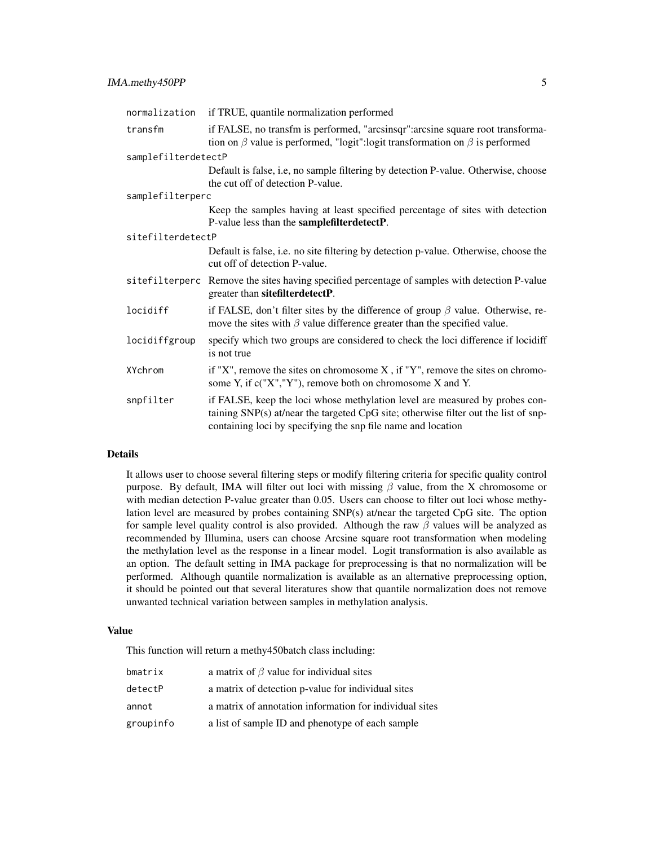| normalization       | if TRUE, quantile normalization performed                                                                                                                                                                                          |
|---------------------|------------------------------------------------------------------------------------------------------------------------------------------------------------------------------------------------------------------------------------|
| transfm             | if FALSE, no transfm is performed, "arcsinsqr": arcsine square root transforma-<br>tion on $\beta$ value is performed, "logit":logit transformation on $\beta$ is performed                                                        |
| samplefilterdetectP |                                                                                                                                                                                                                                    |
|                     | Default is false, i.e, no sample filtering by detection P-value. Otherwise, choose<br>the cut off of detection P-value.                                                                                                            |
| samplefilterperc    |                                                                                                                                                                                                                                    |
|                     | Keep the samples having at least specified percentage of sites with detection<br>P-value less than the <b>samplefilterdetectP</b> .                                                                                                |
| sitefilterdetectP   |                                                                                                                                                                                                                                    |
|                     | Default is false, i.e. no site filtering by detection p-value. Otherwise, choose the<br>cut off of detection P-value.                                                                                                              |
|                     | sitefilterperc Remove the sites having specified percentage of samples with detection P-value<br>greater than sitefilterdetectP.                                                                                                   |
| locidiff            | if FALSE, don't filter sites by the difference of group $\beta$ value. Otherwise, re-<br>move the sites with $\beta$ value difference greater than the specified value.                                                            |
| locidiffgroup       | specify which two groups are considered to check the loci difference if locidiff<br>is not true                                                                                                                                    |
| XYchrom             | if "X", remove the sites on chromosome $X$ , if "Y", remove the sites on chromo-<br>some Y, if $c("X", "Y")$ , remove both on chromosome X and Y.                                                                                  |
| snpfilter           | if FALSE, keep the loci whose methylation level are measured by probes con-<br>taining SNP(s) at/near the targeted CpG site; otherwise filter out the list of snp-<br>containing loci by specifying the snp file name and location |

# Details

It allows user to choose several filtering steps or modify filtering criteria for specific quality control purpose. By default, IMA will filter out loci with missing  $\beta$  value, from the X chromosome or with median detection P-value greater than 0.05. Users can choose to filter out loci whose methylation level are measured by probes containing SNP(s) at/near the targeted CpG site. The option for sample level quality control is also provided. Although the raw  $\beta$  values will be analyzed as recommended by Illumina, users can choose Arcsine square root transformation when modeling the methylation level as the response in a linear model. Logit transformation is also available as an option. The default setting in IMA package for preprocessing is that no normalization will be performed. Although quantile normalization is available as an alternative preprocessing option, it should be pointed out that several literatures show that quantile normalization does not remove unwanted technical variation between samples in methylation analysis.

# Value

This function will return a methy450batch class including:

| bmatrix   | a matrix of $\beta$ value for individual sites          |
|-----------|---------------------------------------------------------|
| detectP   | a matrix of detection p-value for individual sites      |
| annot     | a matrix of annotation information for individual sites |
| groupinfo | a list of sample ID and phenotype of each sample        |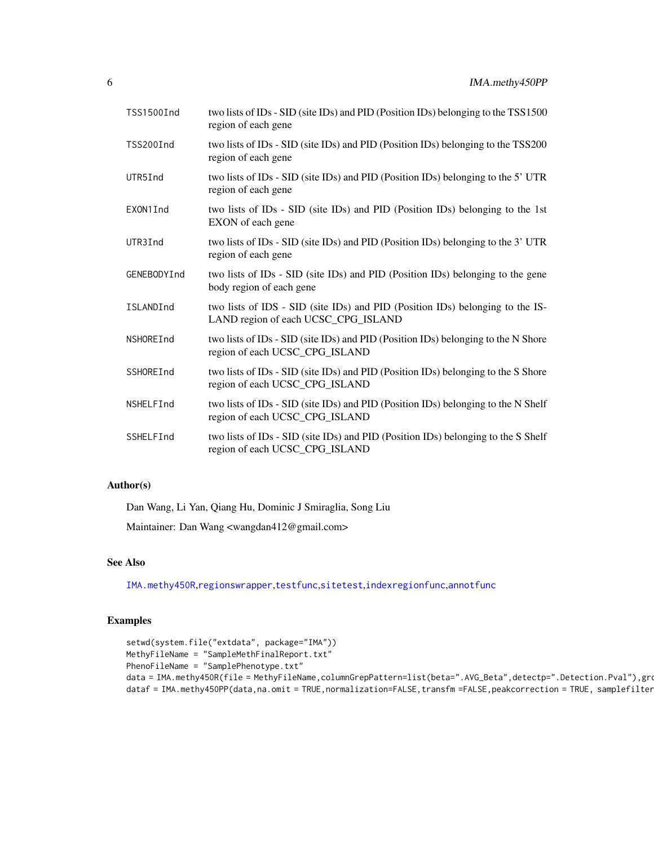| TSS1500Ind  | two lists of IDs - SID (site IDs) and PID (Position IDs) belonging to the TSS1500<br>region of each gene             |
|-------------|----------------------------------------------------------------------------------------------------------------------|
| TSS200Ind   | two lists of IDs - SID (site IDs) and PID (Position IDs) belonging to the TSS200<br>region of each gene              |
| UTR5Ind     | two lists of IDs - SID (site IDs) and PID (Position IDs) belonging to the 5' UTR<br>region of each gene              |
| EXON1Ind    | two lists of IDs - SID (site IDs) and PID (Position IDs) belonging to the 1st<br>EXON of each gene                   |
| UTR3Ind     | two lists of IDs - SID (site IDs) and PID (Position IDs) belonging to the 3' UTR<br>region of each gene              |
| GENEBODYInd | two lists of IDs - SID (site IDs) and PID (Position IDs) belonging to the gene<br>body region of each gene           |
| ISLANDInd   | two lists of IDS - SID (site IDs) and PID (Position IDs) belonging to the IS-<br>LAND region of each UCSC_CPG_ISLAND |
| NSHOREInd   | two lists of IDs - SID (site IDs) and PID (Position IDs) belonging to the N Shore<br>region of each UCSC_CPG_ISLAND  |
| SSHOREInd   | two lists of IDs - SID (site IDs) and PID (Position IDs) belonging to the S Shore<br>region of each UCSC_CPG_ISLAND  |
| NSHELFInd   | two lists of IDs - SID (site IDs) and PID (Position IDs) belonging to the N Shelf<br>region of each UCSC_CPG_ISLAND  |
| SSHELFInd   | two lists of IDs - SID (site IDs) and PID (Position IDs) belonging to the S Shelf<br>region of each UCSC_CPG_ISLAND  |

# Author(s)

Dan Wang, Li Yan, Qiang Hu, Dominic J Smiraglia, Song Liu

Maintainer: Dan Wang <wangdan412@gmail.com>

# See Also

[IMA.methy450R](#page-6-1),[regionswrapper](#page-9-1),[testfunc](#page-11-1),[sitetest](#page-10-1),[indexregionfunc](#page-7-1),[annotfunc](#page-2-1)

# Examples

```
setwd(system.file("extdata", package="IMA"))
MethyFileName = "SampleMethFinalReport.txt"
PhenoFileName = "SamplePhenotype.txt"
data = IMA.methy450R(file = MethyFileName,columnGrepPattern=list(beta=".AVG_Beta",detectp=".Detection.Pval"),gro
dataf = IMA.methy450PP(data,na.omit = TRUE,normalization=FALSE,transfm =FALSE,peakcorrection = TRUE, samplefilter
```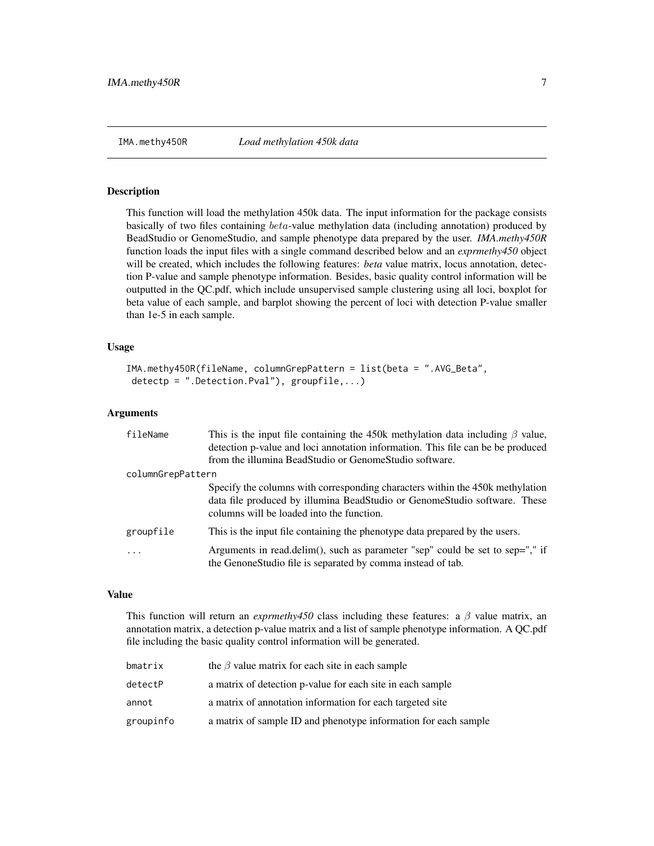<span id="page-6-1"></span><span id="page-6-0"></span>

# Description

This function will load the methylation 450k data. The input information for the package consists basically of two files containing  $beta$ -value methylation data (including annotation) produced by BeadStudio or GenomeStudio, and sample phenotype data prepared by the user. *IMA.methy450R* function loads the input files with a single command described below and an *exprmethy450* object will be created, which includes the following features: *beta* value matrix, locus annotation, detection P-value and sample phenotype information. Besides, basic quality control information will be outputted in the QC.pdf, which include unsupervised sample clustering using all loci, boxplot for beta value of each sample, and barplot showing the percent of loci with detection P-value smaller than 1e-5 in each sample.

# Usage

```
IMA.methy450R(fileName, columnGrepPattern = list(beta = ".AVG_Beta",
detectp = ".Detection.Pval"), groupfile,...)
```
# Arguments

| fileName          | This is the input file containing the 450k methylation data including $\beta$ value,<br>detection p-value and loci annotation information. This file can be be produced<br>from the illumina BeadStudio or GenomeStudio software. |
|-------------------|-----------------------------------------------------------------------------------------------------------------------------------------------------------------------------------------------------------------------------------|
| columnGrepPattern |                                                                                                                                                                                                                                   |
|                   | Specify the columns with corresponding characters within the 450k methylation<br>data file produced by illumina BeadStudio or GenomeStudio software. These<br>columns will be loaded into the function.                           |
| groupfile         | This is the input file containing the phenotype data prepared by the users.                                                                                                                                                       |
| .                 | Arguments in read.delim(), such as parameter "sep" could be set to sep="," if<br>the GenoneStudio file is separated by comma instead of tab.                                                                                      |

# Value

This function will return an *exprmethy450* class including these features: a  $\beta$  value matrix, an annotation matrix, a detection p-value matrix and a list of sample phenotype information. A QC.pdf file including the basic quality control information will be generated.

| bmatrix   | the $\beta$ value matrix for each site in each sample           |
|-----------|-----------------------------------------------------------------|
| detectP   | a matrix of detection p-value for each site in each sample      |
| annot     | a matrix of annotation information for each targeted site       |
| groupinfo | a matrix of sample ID and phenotype information for each sample |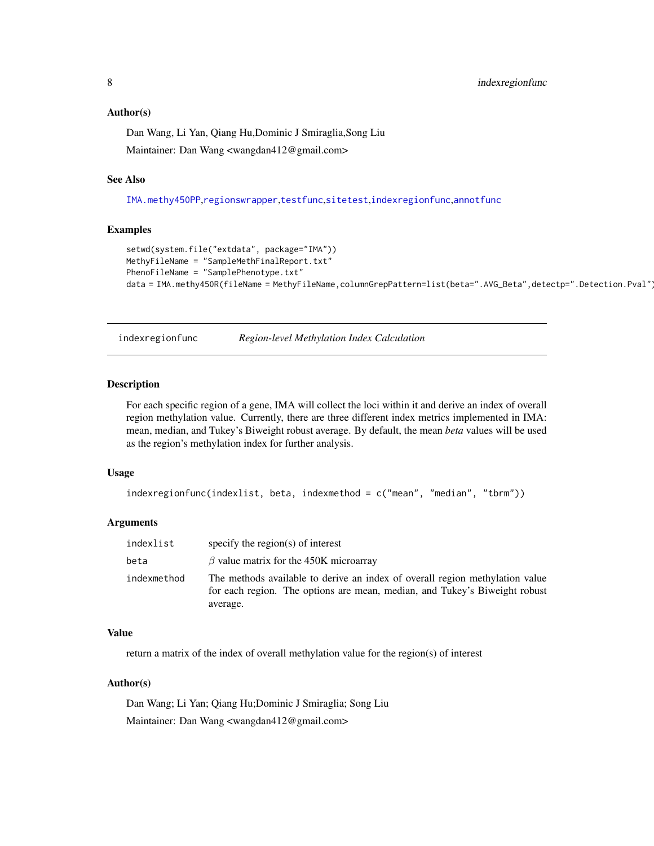# <span id="page-7-0"></span>Author(s)

Dan Wang, Li Yan, Qiang Hu,Dominic J Smiraglia,Song Liu Maintainer: Dan Wang <wangdan412@gmail.com>

# See Also

[IMA.methy450PP](#page-3-1),[regionswrapper](#page-9-1),[testfunc](#page-11-1),[sitetest](#page-10-1),[indexregionfunc](#page-7-1),[annotfunc](#page-2-1)

# Examples

```
setwd(system.file("extdata", package="IMA"))
MethyFileName = "SampleMethFinalReport.txt"
PhenoFileName = "SamplePhenotype.txt"
data = IMA.methy450R(fileName = MethyFileName,columnGrepPattern=list(beta=".AVG_Beta",detectp=".Detection.Pval")
```
<span id="page-7-1"></span>indexregionfunc *Region-level Methylation Index Calculation*

# Description

For each specific region of a gene, IMA will collect the loci within it and derive an index of overall region methylation value. Currently, there are three different index metrics implemented in IMA: mean, median, and Tukey's Biweight robust average. By default, the mean *beta* values will be used as the region's methylation index for further analysis.

# Usage

```
indexregionfunc(indexlist, beta, indexmethod = c("mean", "median", "tbrm"))
```
# Arguments

| indexlist   | specify the region( $s$ ) of interest                                                                                                                                  |
|-------------|------------------------------------------------------------------------------------------------------------------------------------------------------------------------|
| beta        | $\beta$ value matrix for the 450K microarray                                                                                                                           |
| indexmethod | The methods available to derive an index of overall region methylation value<br>for each region. The options are mean, median, and Tukey's Biweight robust<br>average. |

# Value

return a matrix of the index of overall methylation value for the region(s) of interest

# Author(s)

Dan Wang; Li Yan; Qiang Hu;Dominic J Smiraglia; Song Liu Maintainer: Dan Wang <wangdan412@gmail.com>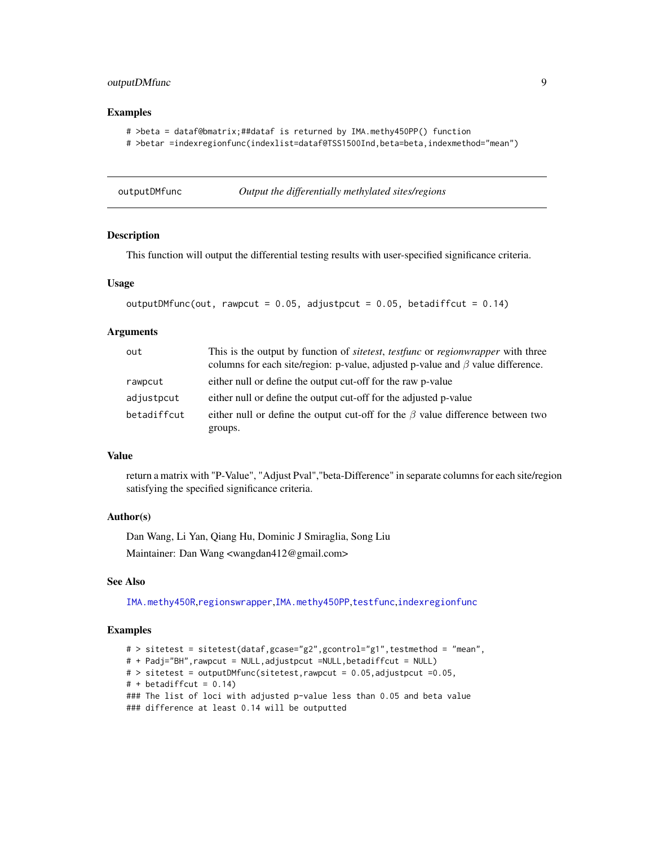# <span id="page-8-0"></span>outputDMfunc 9

# Examples

```
# >beta = dataf@bmatrix;##dataf is returned by IMA.methy450PP() function
# >betar =indexregionfunc(indexlist=dataf@TSS1500Ind,beta=beta,indexmethod="mean")
```
outputDMfunc *Output the differentially methylated sites/regions*

# Description

This function will output the differential testing results with user-specified significance criteria.

# Usage

```
outputDMfunc(out, rawpcut = 0.05, adjustpcut = 0.05, betadiffcut = 0.14)
```
# Arguments

| out         | This is the output by function of <i>sitetest</i> , <i>testfunc</i> or <i>regionwrapper</i> with three<br>columns for each site/region: p-value, adjusted p-value and $\beta$ value difference. |
|-------------|-------------------------------------------------------------------------------------------------------------------------------------------------------------------------------------------------|
| rawpcut     | either null or define the output cut-off for the raw p-value                                                                                                                                    |
| adjustpcut  | either null or define the output cut-off for the adjusted p-value                                                                                                                               |
| betadiffcut | either null or define the output cut-off for the $\beta$ value difference between two                                                                                                           |
|             | groups.                                                                                                                                                                                         |

# Value

return a matrix with "P-Value", "Adjust Pval","beta-Difference" in separate columns for each site/region satisfying the specified significance criteria.

# Author(s)

Dan Wang, Li Yan, Qiang Hu, Dominic J Smiraglia, Song Liu Maintainer: Dan Wang <wangdan412@gmail.com>

# See Also

[IMA.methy450R](#page-6-1),[regionswrapper](#page-9-1),[IMA.methy450PP](#page-3-1),[testfunc](#page-11-1),[indexregionfunc](#page-7-1)

# Examples

```
# > sitetest = sitetest(dataf,gcase="g2",gcontrol="g1",testmethod = "mean",
# + Padj="BH",rawpcut = NULL,adjustpcut =NULL,betadiffcut = NULL)
# > sitetest = outputDMfunc(sitetest, rawpcut = 0.05, adjustpcut = 0.05,
# + \text{betadiffcut} = 0.14### The list of loci with adjusted p-value less than 0.05 and beta value
### difference at least 0.14 will be outputted
```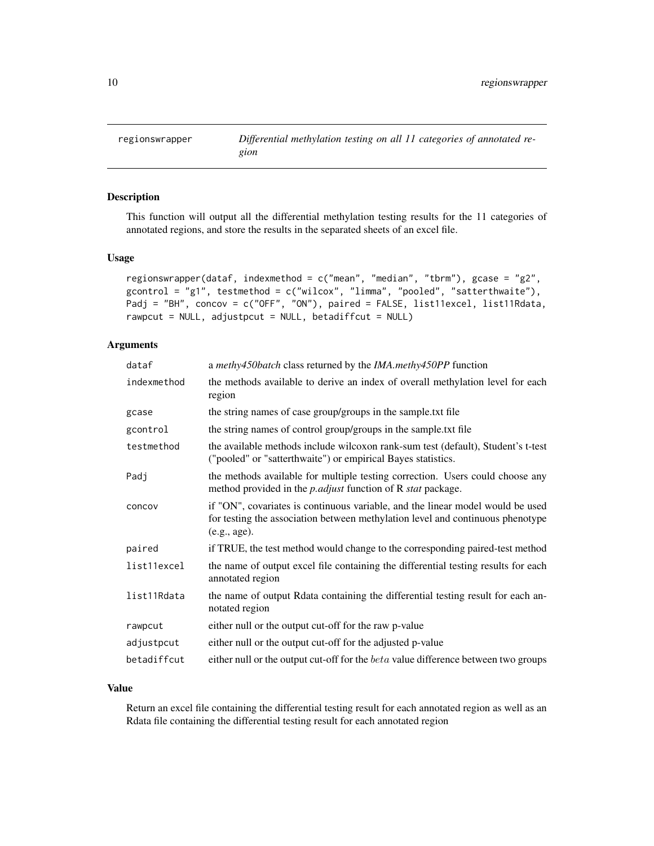<span id="page-9-1"></span><span id="page-9-0"></span>

# Description

This function will output all the differential methylation testing results for the 11 categories of annotated regions, and store the results in the separated sheets of an excel file.

# Usage

```
regionswrapper(dataf, indexmethod = c("mean", "median", "tbrm"), gcase = "g2",
gcontrol = "g1", testmethod = c("wilcox", "limma", "pooled", "satterthwaite"),
Padj = "BH", concov = c("OFF", "ON"), paired = FALSE, list11excel, list11Rdata,
rawpcut = NULL, adjustpcut = NULL, betadiffcut = NULL)
```
# Arguments

| dataf       | a methy450batch class returned by the IMA.methy450PP function                                                                                                                    |
|-------------|----------------------------------------------------------------------------------------------------------------------------------------------------------------------------------|
| indexmethod | the methods available to derive an index of overall methylation level for each<br>region                                                                                         |
| gcase       | the string names of case group/groups in the sample.txt file                                                                                                                     |
| gcontrol    | the string names of control group/groups in the sample.txt file                                                                                                                  |
| testmethod  | the available methods include wilcoxon rank-sum test (default), Student's t-test<br>("pooled" or "satterthwaite") or empirical Bayes statistics.                                 |
| Padj        | the methods available for multiple testing correction. Users could choose any<br>method provided in the <i>p. adjust</i> function of R <i>stat</i> package.                      |
| concov      | if "ON", covariates is continuous variable, and the linear model would be used<br>for testing the association between methylation level and continuous phenotype<br>(e.g., age). |
| paired      | if TRUE, the test method would change to the corresponding paired-test method                                                                                                    |
| list11excel | the name of output excel file containing the differential testing results for each<br>annotated region                                                                           |
| list11Rdata | the name of output Rdata containing the differential testing result for each an-<br>notated region                                                                               |
| rawpcut     | either null or the output cut-off for the raw p-value                                                                                                                            |
| adjustpcut  | either null or the output cut-off for the adjusted p-value                                                                                                                       |
| betadiffcut | either null or the output cut-off for the <i>beta</i> value difference between two groups                                                                                        |

# Value

Return an excel file containing the differential testing result for each annotated region as well as an Rdata file containing the differential testing result for each annotated region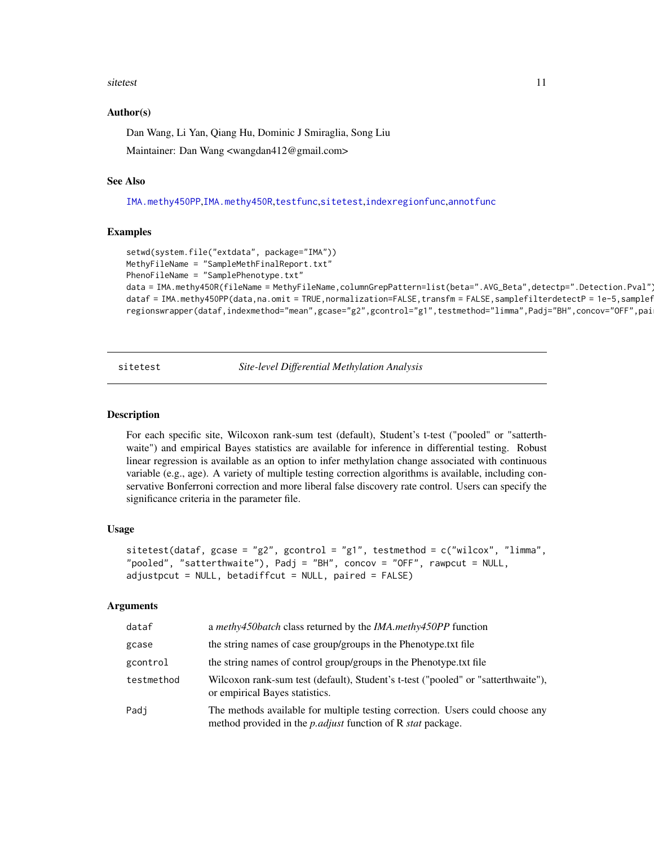# <span id="page-10-0"></span>sitetest 11

## Author(s)

Dan Wang, Li Yan, Qiang Hu, Dominic J Smiraglia, Song Liu Maintainer: Dan Wang <wangdan412@gmail.com>

### See Also

[IMA.methy450PP](#page-3-1),[IMA.methy450R](#page-6-1),[testfunc](#page-11-1),[sitetest](#page-10-1),[indexregionfunc](#page-7-1),[annotfunc](#page-2-1)

# Examples

```
setwd(system.file("extdata", package="IMA"))
MethyFileName = "SampleMethFinalReport.txt"
PhenoFileName = "SamplePhenotype.txt"
data = IMA.methy450R(fileName = MethyFileName,columnGrepPattern=list(beta=".AVG_Beta",detectp=".Detection.Pval")
dataf = IMA.methy450PP(data,na.omit = TRUE,normalization=FALSE,transfm = FALSE,samplefilterdetectP = 1e-5,samplef
regionswrapper(dataf,indexmethod="mean",gcase="g2",gcontrol="g1",testmethod="limma",Padj="BH",concov="OFF",pai
```
<span id="page-10-1"></span>sitetest *Site-level Differential Methylation Analysis*

# Description

For each specific site, Wilcoxon rank-sum test (default), Student's t-test ("pooled" or "satterthwaite") and empirical Bayes statistics are available for inference in differential testing. Robust linear regression is available as an option to infer methylation change associated with continuous variable (e.g., age). A variety of multiple testing correction algorithms is available, including conservative Bonferroni correction and more liberal false discovery rate control. Users can specify the significance criteria in the parameter file.

# Usage

```
sitetest(dataf, gcase = "g2", gcontrol = "g1", testmethod = c("wilcox", "limma",
"pooled", "satterthwaite"), Padj = "BH", concov = "OFF", rawpcut = NULL,
adjustpcut = NULL, betadiffcut = NULL, paired = FALSE)
```
# Arguments

| dataf      | a <i>methy450batch</i> class returned by the <i>IMA.methy450PP</i> function                                                                                 |
|------------|-------------------------------------------------------------------------------------------------------------------------------------------------------------|
| gcase      | the string names of case group/groups in the Phenotype.txt file                                                                                             |
| gcontrol   | the string names of control group/groups in the Phenotype.txt file                                                                                          |
| testmethod | Wilcoxon rank-sum test (default), Student's t-test ("pooled" or "satterthwaite"),<br>or empirical Bayes statistics.                                         |
| Padi       | The methods available for multiple testing correction. Users could choose any<br>method provided in the <i>p. adjust</i> function of R <i>stat</i> package. |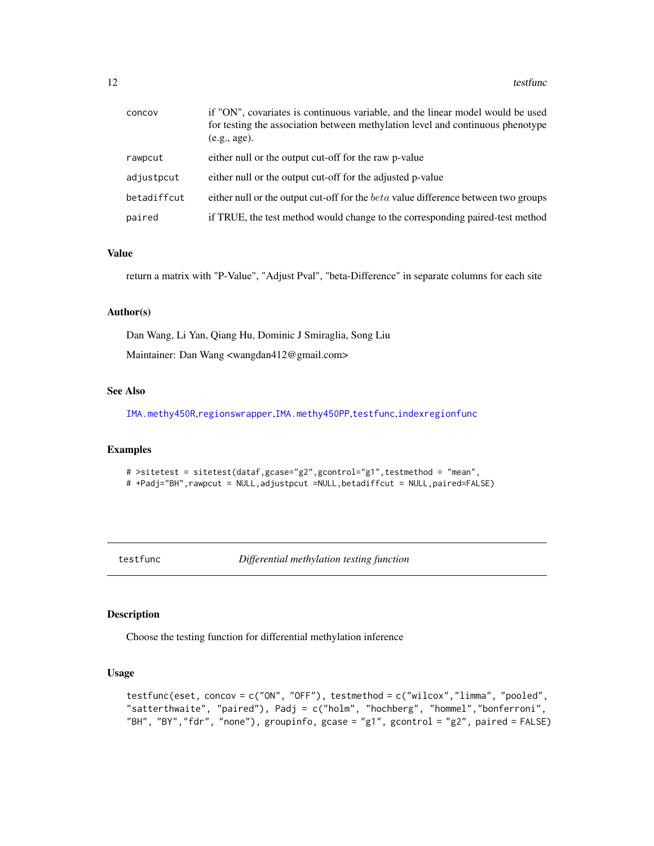<span id="page-11-0"></span>

| concov      | if "ON", covariates is continuous variable, and the linear model would be used<br>for testing the association between methylation level and continuous phenotype<br>(e.g., age). |
|-------------|----------------------------------------------------------------------------------------------------------------------------------------------------------------------------------|
| rawpcut     | either null or the output cut-off for the raw p-value                                                                                                                            |
| adjustpcut  | either null or the output cut-off for the adjusted p-value                                                                                                                       |
| betadiffcut | either null or the output cut-off for the <i>beta</i> value difference between two groups                                                                                        |
| paired      | if TRUE, the test method would change to the corresponding paired-test method                                                                                                    |

# Value

return a matrix with "P-Value", "Adjust Pval", "beta-Difference" in separate columns for each site

# Author(s)

Dan Wang, Li Yan, Qiang Hu, Dominic J Smiraglia, Song Liu Maintainer: Dan Wang <wangdan412@gmail.com>

# See Also

[IMA.methy450R](#page-6-1),[regionswrapper](#page-9-1),[IMA.methy450PP](#page-3-1),[testfunc](#page-11-1),[indexregionfunc](#page-7-1)

# Examples

# >sitetest = sitetest(dataf,gcase="g2",gcontrol="g1",testmethod = "mean", # +Padj="BH",rawpcut = NULL,adjustpcut =NULL,betadiffcut = NULL,paired=FALSE)

<span id="page-11-1"></span>testfunc *Differential methylation testing function*

# Description

Choose the testing function for differential methylation inference

# Usage

```
testfunc(eset, concov = c("ON", "OFF"), testmethod = c("wilcox","limma", "pooled",
"satterthwaite", "paired"), Padj = c("holm", "hochberg", "hommel","bonferroni",
"BH", "BY","fdr", "none"), groupinfo, gcase = "g1", gcontrol = "g2", paired = FALSE)
```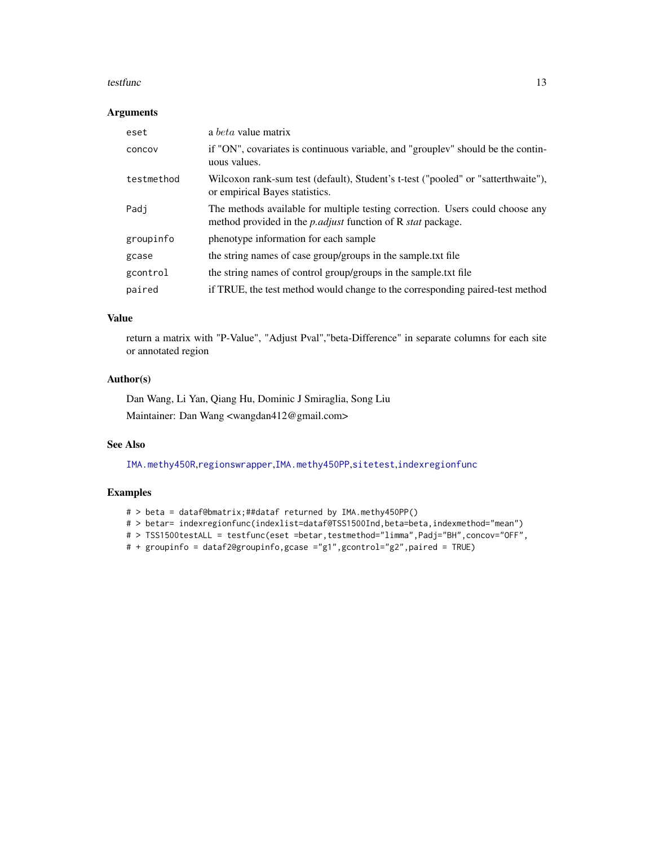# testfunc and the state of the state of the state of the state of the state of the state of the state of the state of the state of the state of the state of the state of the state of the state of the state of the state of t

# Arguments

| eset       | a <i>beta</i> value matrix                                                                                                                                  |
|------------|-------------------------------------------------------------------------------------------------------------------------------------------------------------|
| concov     | if "ON", covariates is continuous variable, and "grouplev" should be the contin-<br>uous values.                                                            |
| testmethod | Wilcoxon rank-sum test (default), Student's t-test ("pooled" or "satterthwaite"),<br>or empirical Bayes statistics.                                         |
| Padi       | The methods available for multiple testing correction. Users could choose any<br>method provided in the <i>p. adjust</i> function of R <i>stat</i> package. |
| groupinfo  | phenotype information for each sample                                                                                                                       |
| gcase      | the string names of case group/groups in the sample.txt file                                                                                                |
| gcontrol   | the string names of control group/groups in the sample.txt file                                                                                             |
| paired     | if TRUE, the test method would change to the corresponding paired-test method                                                                               |

# Value

return a matrix with "P-Value", "Adjust Pval","beta-Difference" in separate columns for each site or annotated region

# Author(s)

Dan Wang, Li Yan, Qiang Hu, Dominic J Smiraglia, Song Liu

Maintainer: Dan Wang <wangdan412@gmail.com>

# See Also

[IMA.methy450R](#page-6-1),[regionswrapper](#page-9-1),[IMA.methy450PP](#page-3-1),[sitetest](#page-10-1),[indexregionfunc](#page-7-1)

# Examples

- # > beta = dataf@bmatrix;##dataf returned by IMA.methy450PP()
- # > betar= indexregionfunc(indexlist=dataf@TSS1500Ind,beta=beta,indexmethod="mean")
- # > TSS1500testALL = testfunc(eset =betar,testmethod="limma",Padj="BH",concov="OFF",
- # + groupinfo = dataf2@groupinfo,gcase ="g1",gcontrol="g2",paired = TRUE)